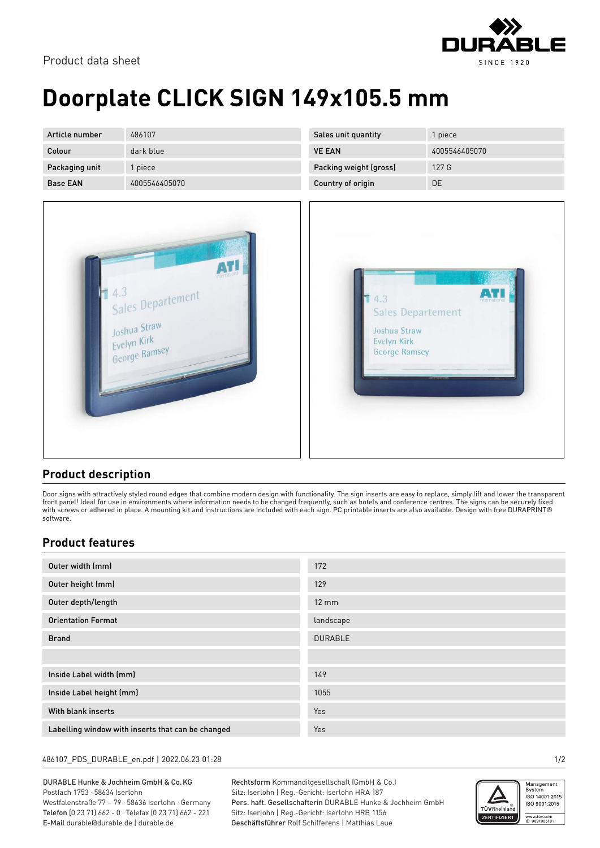

# **Doorplate CLICK SIGN 149x105.5 mm**

| Article number  | 486107        | Sales unit quantity      | 1 piece       |
|-----------------|---------------|--------------------------|---------------|
| Colour          | dark blue     | <b>VE EAN</b>            | 4005546405070 |
| Packaging unit  | l piece       | Packing weight (gross)   | 127 G         |
| <b>Base EAN</b> | 4005546405070 | <b>Country of origin</b> | DE            |





### **Product description**

Door signs with attractively styled round edges that combine modern design with functionality. The sign inserts are easy to replace, simply lift and lower the transparent front panel! Ideal for use in environments where information needs to be changed frequently, such as hotels and conference centres. The signs can be securely fixed with screws or adhered in place. A mounting kit and instructions are included with each sign. PC printable inserts are also available. Design with free DURAPRINT® software.

### **Product features**

| Outer width (mm)                                  | 172             |
|---------------------------------------------------|-----------------|
| Outer height (mm)                                 | 129             |
| Outer depth/length                                | $12 \text{ mm}$ |
| <b>Orientation Format</b>                         | landscape       |
| <b>Brand</b>                                      | <b>DURABLE</b>  |
|                                                   |                 |
| Inside Label width (mm)                           | 149             |
| Inside Label height (mm)                          | 1055            |
| With blank inserts                                | Yes             |
| Labelling window with inserts that can be changed | Yes             |

#### 486107\_PDS\_DURABLE\_en.pdf | 2022.06.23 01:28 1/2

DURABLE Hunke & Jochheim GmbH & Co.KG Postfach 1753 · 58634 Iserlohn Westfalenstraße 77 – 79 · 58636 Iserlohn · Germany Telefon (0 23 71) 662 - 0 · Telefax (0 23 71) 662 - 221 E-Mail durable@durable.de | durable.de

Rechtsform Kommanditgesellschaft (GmbH & Co.) Sitz: Iserlohn | Reg.-Gericht: Iserlohn HRA 187 Pers. haft. Gesellschafterin DURABLE Hunke & Jochheim GmbH Sitz: Iserlohn | Reg.-Gericht: Iserlohn HRB 1156 Geschäftsführer Rolf Schifferens | Matthias Laue